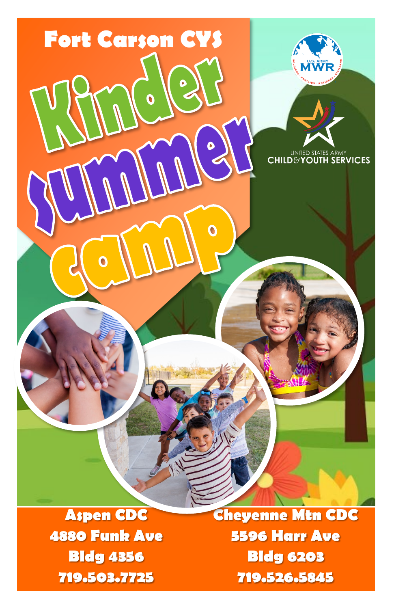

**Aspen CDC 4880 Funk Ave Bldg 4356 719.503.7725**

**Cheyenne Mtn CDC 5596 Harr Ave Bldg 6203 719.526.5845**